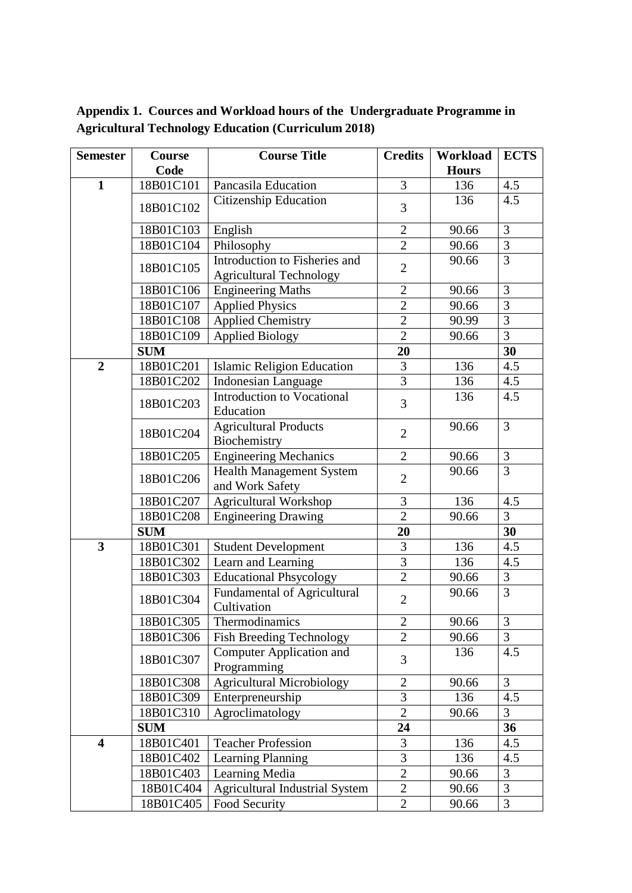**Appendix 1. Cources and Workload hours of the Undergraduate Programme in Agricultural Technology Education (Curriculum 2018)**

| <b>Semester</b>         | Course     | <b>Course Title</b>                                             | <b>Credits</b> | Workload     | <b>ECTS</b>    |
|-------------------------|------------|-----------------------------------------------------------------|----------------|--------------|----------------|
|                         | Code       |                                                                 |                | <b>Hours</b> |                |
| $\mathbf{1}$            | 18B01C101  | Pancasila Education                                             | 3              | 136          | 4.5            |
|                         | 18B01C102  | Citizenship Education                                           | 3              | 136          | 4.5            |
|                         | 18B01C103  | English                                                         | $\overline{2}$ | 90.66        | $\overline{3}$ |
|                         | 18B01C104  | Philosophy                                                      | $\overline{2}$ | 90.66        | 3              |
|                         | 18B01C105  | Introduction to Fisheries and<br><b>Agricultural Technology</b> | $\overline{2}$ | 90.66        | $\overline{3}$ |
|                         | 18B01C106  | <b>Engineering Maths</b>                                        | $\overline{2}$ | 90.66        | 3              |
|                         | 18B01C107  | <b>Applied Physics</b>                                          | $\overline{2}$ | 90.66        | 3              |
|                         | 18B01C108  | <b>Applied Chemistry</b>                                        | $\overline{2}$ | 90.99        | 3              |
|                         | 18B01C109  | <b>Applied Biology</b>                                          | $\overline{2}$ | 90.66        | 3              |
|                         | <b>SUM</b> |                                                                 | 20             |              | 30             |
| $\overline{2}$          | 18B01C201  | <b>Islamic Religion Education</b>                               | 3              | 136          | 4.5            |
|                         | 18B01C202  | <b>Indonesian Language</b>                                      | $\overline{3}$ | 136          | 4.5            |
|                         | 18B01C203  | <b>Introduction to Vocational</b><br>Education                  | 3              | 136          | 4.5            |
|                         | 18B01C204  | <b>Agricultural Products</b><br>Biochemistry                    | $\overline{2}$ | 90.66        | $\overline{3}$ |
|                         | 18B01C205  | <b>Engineering Mechanics</b>                                    | $\overline{2}$ | 90.66        | $\mathfrak{Z}$ |
|                         | 18B01C206  | <b>Health Management System</b><br>and Work Safety              | $\overline{2}$ | 90.66        | $\overline{3}$ |
|                         | 18B01C207  | Agricultural Workshop                                           | 3              | 136          | 4.5            |
|                         | 18B01C208  | <b>Engineering Drawing</b>                                      | $\overline{2}$ | 90.66        | 3              |
|                         | <b>SUM</b> |                                                                 | 20             |              | 30             |
| $\overline{\mathbf{3}}$ | 18B01C301  | <b>Student Development</b>                                      | 3              | 136          | 4.5            |
|                         | 18B01C302  | Learn and Learning                                              | $\overline{3}$ | 136          | 4.5            |
|                         | 18B01C303  | <b>Educational Phsycology</b>                                   | $\overline{2}$ | 90.66        | $\mathfrak{Z}$ |
|                         | 18B01C304  | Fundamental of Agricultural<br>Cultivation                      | $\overline{2}$ | 90.66        | $\overline{3}$ |
|                         | 18B01C305  | Thermodinamics                                                  | $\overline{2}$ | 90.66        | $\mathfrak{Z}$ |
|                         | 18B01C306  | <b>Fish Breeding Technology</b>                                 | $\overline{2}$ | 90.66        | 3              |
|                         | 18B01C307  | <b>Computer Application and</b><br>Programming                  | 3              | 136          | 4.5            |
|                         | 18B01C308  | <b>Agricultural Microbiology</b>                                | $\overline{2}$ | 90.66        | $\overline{3}$ |
|                         | 18B01C309  | Enterpreneurship                                                | 3              | 136          | 4.5            |
|                         | 18B01C310  | Agroclimatology                                                 | $\overline{2}$ | 90.66        | $\overline{3}$ |
|                         | <b>SUM</b> |                                                                 | 24             |              | 36             |
| $\overline{\mathbf{4}}$ | 18B01C401  | <b>Teacher Profession</b>                                       | 3              | 136          | 4.5            |
|                         | 18B01C402  | Learning Planning                                               | 3              | 136          | 4.5            |
|                         | 18B01C403  | Learning Media                                                  | $\overline{2}$ | 90.66        | 3              |
|                         | 18B01C404  | <b>Agricultural Industrial System</b>                           | $\overline{2}$ | 90.66        | 3              |
|                         | 18B01C405  | Food Security                                                   | $\overline{2}$ | 90.66        | 3              |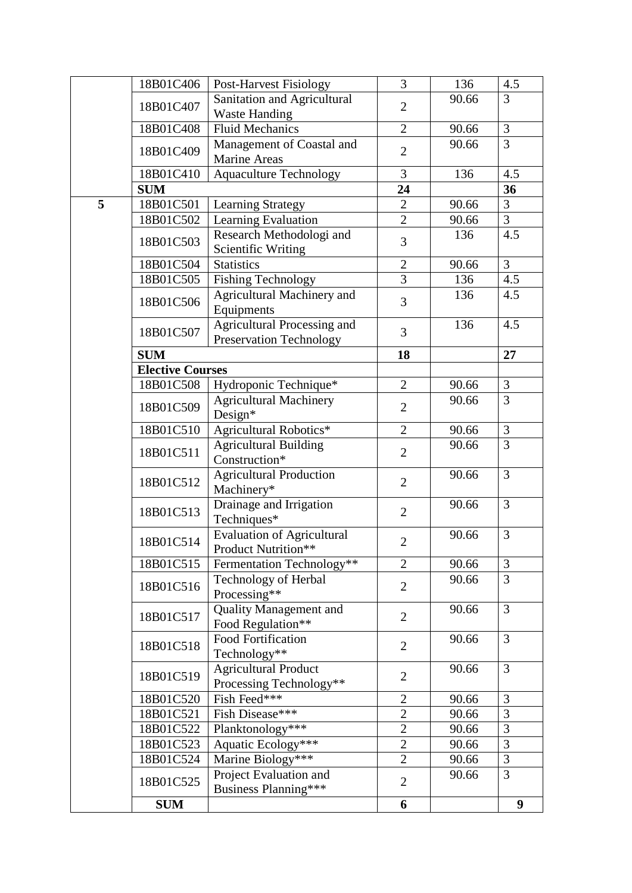|   | 18B01C406               | Post-Harvest Fisiology                                               | 3              | 136   | 4.5            |
|---|-------------------------|----------------------------------------------------------------------|----------------|-------|----------------|
|   | 18B01C407               | Sanitation and Agricultural                                          | $\overline{2}$ | 90.66 | $\overline{3}$ |
|   |                         | <b>Waste Handing</b>                                                 |                |       |                |
|   | 18B01C408               | <b>Fluid Mechanics</b>                                               | $\overline{2}$ | 90.66 | $\mathfrak{Z}$ |
|   | 18B01C409               | Management of Coastal and<br><b>Marine Areas</b>                     | $\overline{2}$ | 90.66 | $\overline{3}$ |
|   | 18B01C410               | <b>Aquaculture Technology</b>                                        | 3              | 136   | 4.5            |
|   | <b>SUM</b>              |                                                                      | 24             |       | 36             |
| 5 | 18B01C501               | <b>Learning Strategy</b>                                             | $\sqrt{2}$     | 90.66 | 3              |
|   | 18B01C502               | Learning Evaluation                                                  | $\overline{2}$ | 90.66 | 3              |
|   | 18B01C503               | Research Methodologi and<br><b>Scientific Writing</b>                | 3              | 136   | 4.5            |
|   | 18B01C504               | <b>Statistics</b>                                                    | $\overline{2}$ | 90.66 | $\overline{3}$ |
|   | 18B01C505               | <b>Fishing Technology</b>                                            | 3              | 136   | 4.5            |
|   | 18B01C506               | Agricultural Machinery and<br>Equipments                             | 3              | 136   | 4.5            |
|   | 18B01C507               | <b>Agricultural Processing and</b><br><b>Preservation Technology</b> | 3              | 136   | 4.5            |
|   | <b>SUM</b>              |                                                                      | 18             |       | 27             |
|   | <b>Elective Courses</b> |                                                                      |                |       |                |
|   | 18B01C508               | Hydroponic Technique*                                                | $\overline{2}$ | 90.66 | 3              |
|   | 18B01C509               | <b>Agricultural Machinery</b><br>Design*                             | $\overline{2}$ | 90.66 | $\overline{3}$ |
|   | 18B01C510               | Agricultural Robotics*                                               | $\overline{2}$ | 90.66 | 3              |
|   | 18B01C511               | <b>Agricultural Building</b><br>Construction*                        | $\overline{2}$ | 90.66 | $\overline{3}$ |
|   | 18B01C512               | <b>Agricultural Production</b><br>Machinery*                         | $\overline{2}$ | 90.66 | 3              |
|   | 18B01C513               | Drainage and Irrigation<br>Techniques*                               | $\overline{2}$ | 90.66 | $\overline{3}$ |
|   | 18B01C514               | <b>Evaluation of Agricultural</b><br>Product Nutrition**             | $\overline{2}$ | 90.66 | 3              |
|   | 18B01C515               | Fermentation Technology**                                            | $\overline{2}$ | 90.66 | 3              |
|   | 18B01C516               | Technology of Herbal<br>Processing**                                 | $\overline{2}$ | 90.66 | 3              |
|   | 18B01C517               | <b>Quality Management and</b><br>Food Regulation**                   | $\overline{2}$ | 90.66 | 3              |
|   | 18B01C518               | <b>Food Fortification</b><br>Technology**                            | $\overline{2}$ | 90.66 | 3              |
|   | 18B01C519               | <b>Agricultural Product</b><br>Processing Technology**               | $\overline{2}$ | 90.66 | 3              |
|   | 18B01C520               | Fish Feed***                                                         | $\mathbf{2}$   | 90.66 | 3              |
|   | 18B01C521               | Fish Disease***                                                      | $\overline{2}$ | 90.66 | 3              |
|   | 18B01C522               | Planktonology***                                                     | $\overline{2}$ | 90.66 | $\mathfrak{Z}$ |
|   | 18B01C523               | Aquatic Ecology***                                                   | $\overline{2}$ | 90.66 | $\mathfrak{Z}$ |
|   | 18B01C524               | Marine Biology***                                                    | $\overline{2}$ | 90.66 | $\mathfrak{Z}$ |
|   | 18B01C525               | Project Evaluation and<br>Business Planning***                       | $\overline{2}$ | 90.66 | 3              |
|   | <b>SUM</b>              |                                                                      | 6              |       | 9              |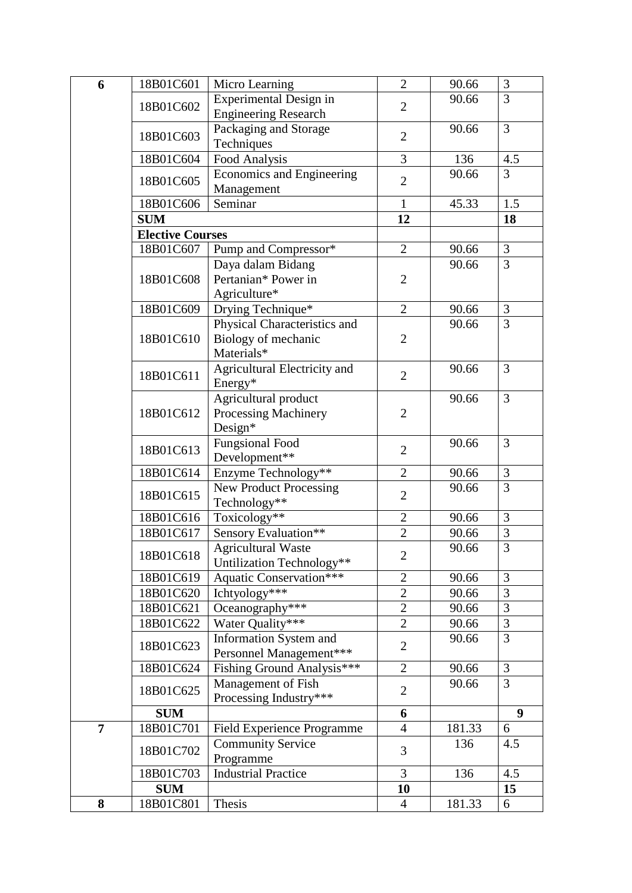| 6              | 18B01C601               | Micro Learning                                                    | $\overline{2}$ | 90.66  | 3              |
|----------------|-------------------------|-------------------------------------------------------------------|----------------|--------|----------------|
|                | 18B01C602               | Experimental Design in                                            | $\overline{2}$ | 90.66  | $\overline{3}$ |
|                |                         | <b>Engineering Research</b>                                       |                |        |                |
|                | 18B01C603               | Packaging and Storage                                             | $\overline{2}$ | 90.66  | $\overline{3}$ |
|                |                         | Techniques                                                        |                |        |                |
|                | 18B01C604               | Food Analysis                                                     | 3              | 136    | 4.5            |
|                | 18B01C605               | <b>Economics and Engineering</b><br>Management                    | $\overline{2}$ | 90.66  | $\overline{3}$ |
|                | 18B01C606               | Seminar                                                           | $\mathbf{1}$   | 45.33  | 1.5            |
|                | <b>SUM</b>              |                                                                   | 12             |        | 18             |
|                | <b>Elective Courses</b> |                                                                   |                |        |                |
|                | 18B01C607               | Pump and Compressor*                                              | $\overline{2}$ | 90.66  | 3              |
|                | 18B01C608               | Daya dalam Bidang<br>Pertanian* Power in<br>Agriculture*          | $\overline{2}$ | 90.66  | $\overline{3}$ |
|                | 18B01C609               | Drying Technique*                                                 | $\overline{2}$ | 90.66  | 3              |
|                | 18B01C610               | Physical Characteristics and<br>Biology of mechanic<br>Materials* | $\overline{2}$ | 90.66  | $\overline{3}$ |
|                | 18B01C611               | Agricultural Electricity and<br>Energy*                           | $\overline{2}$ | 90.66  | 3              |
|                | 18B01C612               | Agricultural product<br>Processing Machinery<br>Design*           | $\overline{2}$ | 90.66  | $\overline{3}$ |
|                | 18B01C613               | <b>Fungsional Food</b><br>Development**                           | $\overline{2}$ | 90.66  | $\overline{3}$ |
|                | 18B01C614               | Enzyme Technology**                                               | $\overline{2}$ | 90.66  | $\mathfrak{Z}$ |
|                | 18B01C615               | <b>New Product Processing</b><br>Technology**                     | $\overline{2}$ | 90.66  | 3              |
|                | 18B01C616               | Toxicology**                                                      | $\overline{2}$ | 90.66  | $\overline{3}$ |
|                | 18B01C617               | Sensory Evaluation**                                              | $\overline{2}$ | 90.66  | $\overline{3}$ |
|                | 18B01C618               | <b>Agricultural Waste</b><br>Untilization Technology**            | $\overline{2}$ | 90.66  | $\mathfrak{Z}$ |
|                | 18B01C619               | <b>Aquatic Conservation***</b>                                    | $\overline{2}$ | 90.66  | 3              |
|                | 18B01C620               | Ichtyology***                                                     | $\overline{2}$ | 90.66  | 3              |
|                | 18B01C621               | Oceanography***                                                   | $\overline{2}$ | 90.66  | $\overline{3}$ |
|                | 18B01C622               | Water Quality***                                                  | $\mathbf{2}$   | 90.66  | 3              |
|                | 18B01C623               | Information System and<br>Personnel Management***                 | $\overline{2}$ | 90.66  | 3              |
|                | 18B01C624               | Fishing Ground Analysis***                                        | $\overline{2}$ | 90.66  | $\overline{3}$ |
|                | 18B01C625               | Management of Fish<br>Processing Industry***                      | $\overline{2}$ | 90.66  | $\overline{3}$ |
|                | <b>SUM</b>              |                                                                   | 6              |        | 9              |
| $\overline{7}$ | 18B01C701               | Field Experience Programme                                        | $\overline{4}$ | 181.33 | 6              |
|                | 18B01C702               | <b>Community Service</b><br>Programme                             | 3              | 136    | 4.5            |
|                | 18B01C703               | <b>Industrial Practice</b>                                        | $\overline{3}$ | 136    | 4.5            |
|                | <b>SUM</b>              |                                                                   | 10             |        | 15             |
| 8              | 18B01C801               | Thesis                                                            | $\overline{4}$ | 181.33 | 6              |